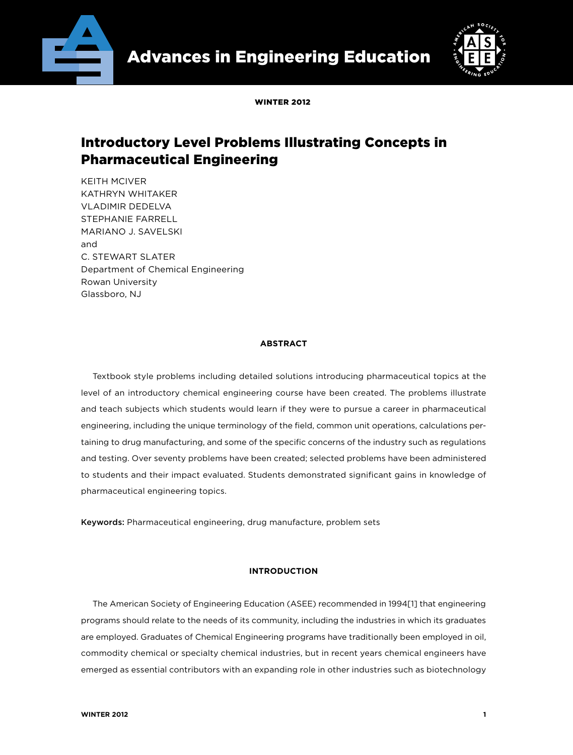



WINTED 2012

# Introductory Level Problems Illustrating Concepts in Pharmaceutical Engineering

KEITH MCIVER KATHRYN WHITAKER VLADIMIR DEDELVA STEPHANIE FARRELL MARIANO J. SAVELSKI and C. STEWART SLATER Department of Chemical Engineering Rowan University Glassboro, NJ

## **ABSTRACT**

Textbook style problems including detailed solutions introducing pharmaceutical topics at the level of an introductory chemical engineering course have been created. The problems illustrate and teach subjects which students would learn if they were to pursue a career in pharmaceutical engineering, including the unique terminology of the field, common unit operations, calculations pertaining to drug manufacturing, and some of the specific concerns of the industry such as regulations and testing. Over seventy problems have been created; selected problems have been administered to students and their impact evaluated. Students demonstrated significant gains in knowledge of pharmaceutical engineering topics.

Keywords: Pharmaceutical engineering, drug manufacture, problem sets

## **INTRODUCTION**

The American Society of Engineering Education (ASEE) recommended in 1994[1] that engineering programs should relate to the needs of its community, including the industries in which its graduates are employed. Graduates of Chemical Engineering programs have traditionally been employed in oil, commodity chemical or specialty chemical industries, but in recent years chemical engineers have emerged as essential contributors with an expanding role in other industries such as biotechnology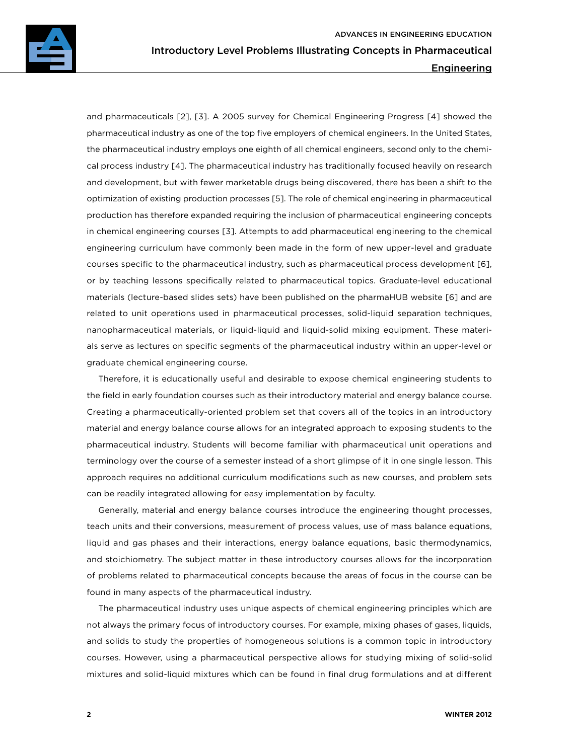and pharmaceuticals [2], [3]. A 2005 survey for Chemical Engineering Progress [4] showed the pharmaceutical industry as one of the top five employers of chemical engineers. In the United States, the pharmaceutical industry employs one eighth of all chemical engineers, second only to the chemical process industry [4]. The pharmaceutical industry has traditionally focused heavily on research and development, but with fewer marketable drugs being discovered, there has been a shift to the optimization of existing production processes [5]. The role of chemical engineering in pharmaceutical production has therefore expanded requiring the inclusion of pharmaceutical engineering concepts in chemical engineering courses [3]. Attempts to add pharmaceutical engineering to the chemical engineering curriculum have commonly been made in the form of new upper-level and graduate courses specific to the pharmaceutical industry, such as pharmaceutical process development [6], or by teaching lessons specifically related to pharmaceutical topics. Graduate-level educational materials (lecture-based slides sets) have been published on the pharmaHUB website [6] and are related to unit operations used in pharmaceutical processes, solid-liquid separation techniques, nanopharmaceutical materials, or liquid-liquid and liquid-solid mixing equipment. These materials serve as lectures on specific segments of the pharmaceutical industry within an upper-level or graduate chemical engineering course.

Therefore, it is educationally useful and desirable to expose chemical engineering students to the field in early foundation courses such as their introductory material and energy balance course. Creating a pharmaceutically-oriented problem set that covers all of the topics in an introductory material and energy balance course allows for an integrated approach to exposing students to the pharmaceutical industry. Students will become familiar with pharmaceutical unit operations and terminology over the course of a semester instead of a short glimpse of it in one single lesson. This approach requires no additional curriculum modifications such as new courses, and problem sets can be readily integrated allowing for easy implementation by faculty.

Generally, material and energy balance courses introduce the engineering thought processes, teach units and their conversions, measurement of process values, use of mass balance equations, liquid and gas phases and their interactions, energy balance equations, basic thermodynamics, and stoichiometry. The subject matter in these introductory courses allows for the incorporation of problems related to pharmaceutical concepts because the areas of focus in the course can be found in many aspects of the pharmaceutical industry.

The pharmaceutical industry uses unique aspects of chemical engineering principles which are not always the primary focus of introductory courses. For example, mixing phases of gases, liquids, and solids to study the properties of homogeneous solutions is a common topic in introductory courses. However, using a pharmaceutical perspective allows for studying mixing of solid-solid mixtures and solid-liquid mixtures which can be found in final drug formulations and at different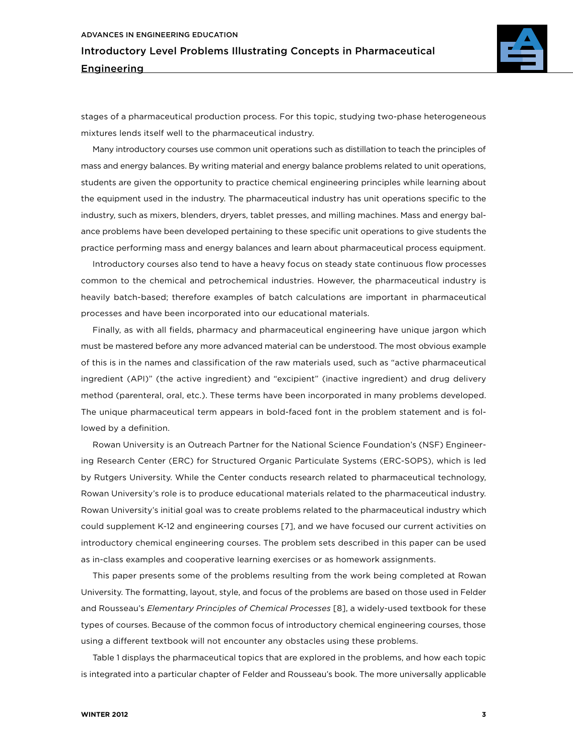

stages of a pharmaceutical production process. For this topic, studying two-phase heterogeneous mixtures lends itself well to the pharmaceutical industry.

Many introductory courses use common unit operations such as distillation to teach the principles of mass and energy balances. By writing material and energy balance problems related to unit operations, students are given the opportunity to practice chemical engineering principles while learning about the equipment used in the industry. The pharmaceutical industry has unit operations specific to the industry, such as mixers, blenders, dryers, tablet presses, and milling machines. Mass and energy balance problems have been developed pertaining to these specific unit operations to give students the practice performing mass and energy balances and learn about pharmaceutical process equipment.

Introductory courses also tend to have a heavy focus on steady state continuous flow processes common to the chemical and petrochemical industries. However, the pharmaceutical industry is heavily batch-based; therefore examples of batch calculations are important in pharmaceutical processes and have been incorporated into our educational materials.

Finally, as with all fields, pharmacy and pharmaceutical engineering have unique jargon which must be mastered before any more advanced material can be understood. The most obvious example of this is in the names and classification of the raw materials used, such as "active pharmaceutical ingredient (API)" (the active ingredient) and "excipient" (inactive ingredient) and drug delivery method (parenteral, oral, etc.). These terms have been incorporated in many problems developed. The unique pharmaceutical term appears in bold-faced font in the problem statement and is followed by a definition.

Rowan University is an Outreach Partner for the National Science Foundation's (NSF) Engineering Research Center (ERC) for Structured Organic Particulate Systems (ERC-SOPS), which is led by Rutgers University. While the Center conducts research related to pharmaceutical technology, Rowan University's role is to produce educational materials related to the pharmaceutical industry. Rowan University's initial goal was to create problems related to the pharmaceutical industry which could supplement K-12 and engineering courses [7], and we have focused our current activities on introductory chemical engineering courses. The problem sets described in this paper can be used as in-class examples and cooperative learning exercises or as homework assignments.

This paper presents some of the problems resulting from the work being completed at Rowan University. The formatting, layout, style, and focus of the problems are based on those used in Felder and Rousseau's *Elementary Principles of Chemical Processes* [8], a widely-used textbook for these types of courses. Because of the common focus of introductory chemical engineering courses, those using a different textbook will not encounter any obstacles using these problems.

Table 1 displays the pharmaceutical topics that are explored in the problems, and how each topic is integrated into a particular chapter of Felder and Rousseau's book. The more universally applicable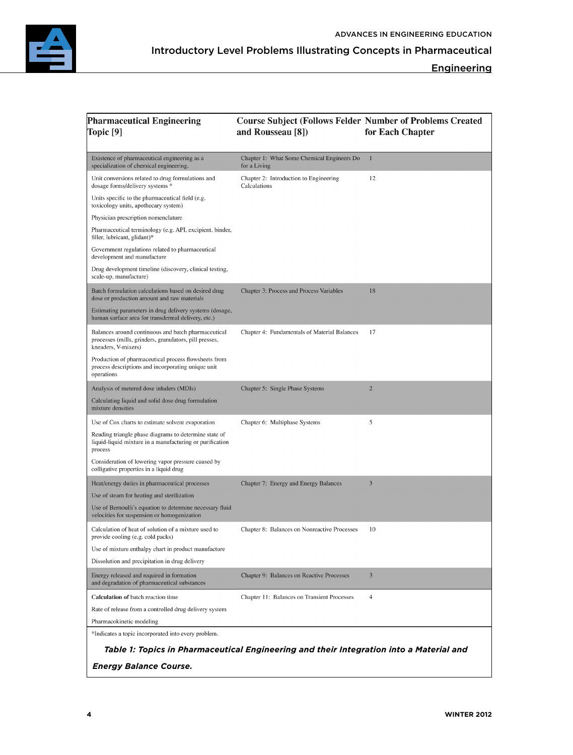

## **Engineering**

| <b>Pharmaceutical Engineering</b><br>Topic [9]                                                                                       | <b>Course Subject (Follows Felder Number of Problems Created</b><br>and Rousseau [8])   | for Each Chapter |
|--------------------------------------------------------------------------------------------------------------------------------------|-----------------------------------------------------------------------------------------|------------------|
| Existence of pharmaceutical engineering as a<br>specialization of chemical engineering.                                              | Chapter 1: What Some Chemical Engineers Do<br>for a Living                              | $\mathbf{1}$     |
| Unit conversions related to drug formulations and<br>dosage forms/delivery systems *                                                 | Chapter 2: Introduction to Engineering<br>Calculations                                  | 12               |
| Units specific to the pharmaceutical field (e.g.<br>toxicology units, apothecary system)                                             |                                                                                         |                  |
| Physician prescription nomenclature                                                                                                  |                                                                                         |                  |
| Pharmaceutical terminology (e.g. API, excipient, binder,<br>filler, lubricant, glidant)*                                             |                                                                                         |                  |
| Government regulations related to pharmaceutical<br>development and manufacture                                                      |                                                                                         |                  |
| Drug development timeline (discovery, clinical testing,<br>scale-up, manufacture)                                                    |                                                                                         |                  |
| Batch formulation calculations based on desired drug<br>dose or production amount and raw materials                                  | Chapter 3: Process and Process Variables                                                | 18               |
| Estimating parameters in drug delivery systems (dosage,<br>human surface area for transdermal delivery, etc.)                        |                                                                                         |                  |
| Balances around continuous and batch pharmaceutical<br>processes (mills, grinders, granulators, pill presses,<br>kneaders, V-mixers) | Chapter 4: Fundamentals of Material Balances                                            | 17               |
| Production of pharmaceutical process flowsheets from<br>process descriptions and incorporating unique unit<br>operations             |                                                                                         |                  |
| Analysis of metered dose inhalers (MDIs)                                                                                             | Chapter 5: Single Phase Systems                                                         | $\overline{2}$   |
| Calculating liquid and solid dose drug formulation<br>mixture densities                                                              |                                                                                         |                  |
| Use of Cox charts to estimate solvent evaporation                                                                                    | Chapter 6: Multiphase Systems                                                           | 5                |
| Reading triangle phase diagrams to determine state of<br>liquid-liquid mixture in a manufacturing or purification<br>process         |                                                                                         |                  |
| Consideration of lowering vapor pressure caused by<br>colligative properties in a liquid drug                                        |                                                                                         |                  |
| Heat/energy duties in pharmaceutical processes                                                                                       | Chapter 7: Energy and Energy Balances                                                   | $\overline{3}$   |
| Use of steam for heating and sterilization                                                                                           |                                                                                         |                  |
| Use of Bernoulli's equation to determine necessary fluid<br>velocities for suspension or homogenization                              |                                                                                         |                  |
| Calculation of heat of solution of a mixture used to<br>provide cooling (e.g. cold packs)                                            | Chapter 8: Balances on Nonreactive Processes                                            | 10               |
| Use of mixture enthalpy chart in product manufacture                                                                                 |                                                                                         |                  |
| Dissolution and precipitation in drug delivery                                                                                       |                                                                                         |                  |
| Energy released and required in formation<br>and degradation of pharmaceutical substances                                            | Chapter 9: Balances on Reactive Processes                                               | $\overline{3}$   |
| Calculation of batch reaction time                                                                                                   | Chapter 11: Balances on Transient Processes                                             | $\overline{4}$   |
| Rate of release from a controlled drug delivery system                                                                               |                                                                                         |                  |
| Pharmacokinetic modeling                                                                                                             |                                                                                         |                  |
| *Indicates a topic incorporated into every problem.                                                                                  |                                                                                         |                  |
|                                                                                                                                      | Table 1: Topics in Pharmaceutical Engineering and their Integration into a Material and |                  |
| <b>Energy Balance Course.</b>                                                                                                        |                                                                                         |                  |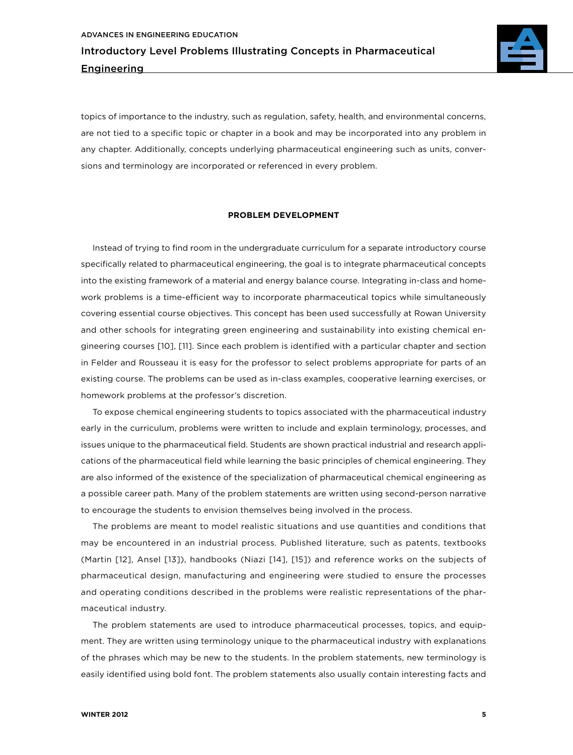

topics of importance to the industry, such as regulation, safety, health, and environmental concerns, are not tied to a specific topic or chapter in a book and may be incorporated into any problem in any chapter. Additionally, concepts underlying pharmaceutical engineering such as units, conversions and terminology are incorporated or referenced in every problem.

#### **PROBLEM DEVELOPMENT**

Instead of trying to find room in the undergraduate curriculum for a separate introductory course specifically related to pharmaceutical engineering, the goal is to integrate pharmaceutical concepts into the existing framework of a material and energy balance course. Integrating in-class and homework problems is a time-efficient way to incorporate pharmaceutical topics while simultaneously covering essential course objectives. This concept has been used successfully at Rowan University and other schools for integrating green engineering and sustainability into existing chemical engineering courses [10], [11]. Since each problem is identified with a particular chapter and section in Felder and Rousseau it is easy for the professor to select problems appropriate for parts of an existing course. The problems can be used as in-class examples, cooperative learning exercises, or homework problems at the professor's discretion.

To expose chemical engineering students to topics associated with the pharmaceutical industry early in the curriculum, problems were written to include and explain terminology, processes, and issues unique to the pharmaceutical field. Students are shown practical industrial and research applications of the pharmaceutical field while learning the basic principles of chemical engineering. They are also informed of the existence of the specialization of pharmaceutical chemical engineering as a possible career path. Many of the problem statements are written using second-person narrative to encourage the students to envision themselves being involved in the process.

The problems are meant to model realistic situations and use quantities and conditions that may be encountered in an industrial process. Published literature, such as patents, textbooks (Martin [12], Ansel [13]), handbooks (Niazi [14], [15]) and reference works on the subjects of pharmaceutical design, manufacturing and engineering were studied to ensure the processes and operating conditions described in the problems were realistic representations of the pharmaceutical industry.

The problem statements are used to introduce pharmaceutical processes, topics, and equipment. They are written using terminology unique to the pharmaceutical industry with explanations of the phrases which may be new to the students. In the problem statements, new terminology is easily identified using bold font. The problem statements also usually contain interesting facts and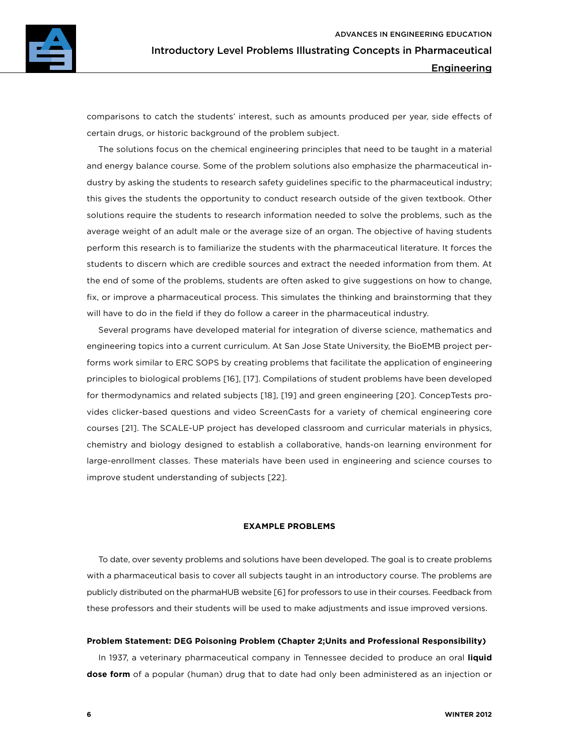

comparisons to catch the students' interest, such as amounts produced per year, side effects of certain drugs, or historic background of the problem subject.

The solutions focus on the chemical engineering principles that need to be taught in a material and energy balance course. Some of the problem solutions also emphasize the pharmaceutical industry by asking the students to research safety guidelines specific to the pharmaceutical industry; this gives the students the opportunity to conduct research outside of the given textbook. Other solutions require the students to research information needed to solve the problems, such as the average weight of an adult male or the average size of an organ. The objective of having students perform this research is to familiarize the students with the pharmaceutical literature. It forces the students to discern which are credible sources and extract the needed information from them. At the end of some of the problems, students are often asked to give suggestions on how to change, fix, or improve a pharmaceutical process. This simulates the thinking and brainstorming that they will have to do in the field if they do follow a career in the pharmaceutical industry.

Several programs have developed material for integration of diverse science, mathematics and engineering topics into a current curriculum. At San Jose State University, the BioEMB project performs work similar to ERC SOPS by creating problems that facilitate the application of engineering principles to biological problems [16], [17]. Compilations of student problems have been developed for thermodynamics and related subjects [18], [19] and green engineering [20]. ConcepTests provides clicker-based questions and video ScreenCasts for a variety of chemical engineering core courses [21]. The SCALE-UP project has developed classroom and curricular materials in physics, chemistry and biology designed to establish a collaborative, hands-on learning environment for large-enrollment classes. These materials have been used in engineering and science courses to improve student understanding of subjects [22].

#### **EXAMPLE PROBLEMS**

To date, over seventy problems and solutions have been developed. The goal is to create problems with a pharmaceutical basis to cover all subjects taught in an introductory course. The problems are publicly distributed on the pharmaHUB website [6] for professors to use in their courses. Feedback from these professors and their students will be used to make adjustments and issue improved versions.

## **Problem Statement: DEG Poisoning Problem (Chapter 2;Units and Professional Responsibility)**

In 1937, a veterinary pharmaceutical company in Tennessee decided to produce an oral **liquid dose form** of a popular (human) drug that to date had only been administered as an injection or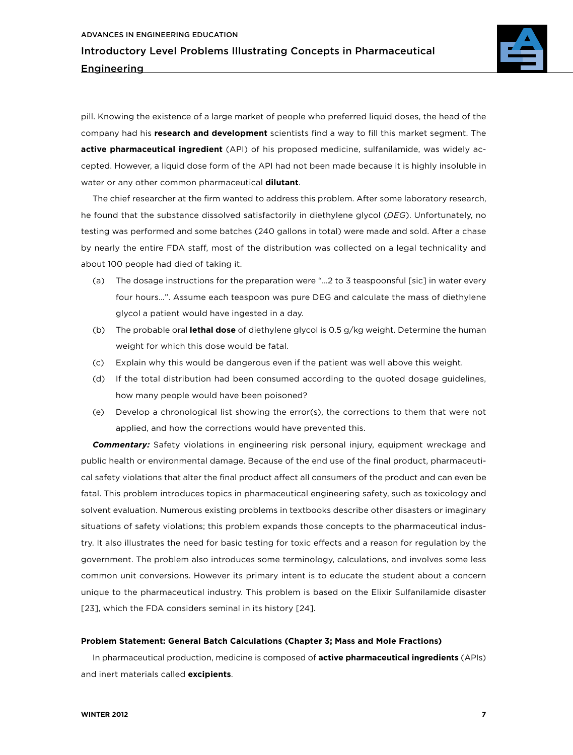

pill. Knowing the existence of a large market of people who preferred liquid doses, the head of the company had his **research and development** scientists find a way to fill this market segment. The **active pharmaceutical ingredient** (API) of his proposed medicine, sulfanilamide, was widely accepted. However, a liquid dose form of the API had not been made because it is highly insoluble in water or any other common pharmaceutical **dilutant**.

The chief researcher at the firm wanted to address this problem. After some laboratory research, he found that the substance dissolved satisfactorily in diethylene glycol (*DEG*). Unfortunately, no testing was performed and some batches (240 gallons in total) were made and sold. After a chase by nearly the entire FDA staff, most of the distribution was collected on a legal technicality and about 100 people had died of taking it.

- (a) The dosage instructions for the preparation were "…2 to 3 teaspoonsful [sic] in water every four hours…". Assume each teaspoon was pure DEG and calculate the mass of diethylene glycol a patient would have ingested in a day.
- (b) The probable oral **lethal dose** of diethylene glycol is 0.5 g/kg weight. Determine the human weight for which this dose would be fatal.
- (c) Explain why this would be dangerous even if the patient was well above this weight.
- (d) If the total distribution had been consumed according to the quoted dosage guidelines, how many people would have been poisoned?
- (e) Develop a chronological list showing the error(s), the corrections to them that were not applied, and how the corrections would have prevented this.

*Commentary:* Safety violations in engineering risk personal injury, equipment wreckage and public health or environmental damage. Because of the end use of the final product, pharmaceutical safety violations that alter the final product affect all consumers of the product and can even be fatal. This problem introduces topics in pharmaceutical engineering safety, such as toxicology and solvent evaluation. Numerous existing problems in textbooks describe other disasters or imaginary situations of safety violations; this problem expands those concepts to the pharmaceutical industry. It also illustrates the need for basic testing for toxic effects and a reason for regulation by the government. The problem also introduces some terminology, calculations, and involves some less common unit conversions. However its primary intent is to educate the student about a concern unique to the pharmaceutical industry. This problem is based on the Elixir Sulfanilamide disaster [23], which the FDA considers seminal in its history [24].

## **Problem Statement: General Batch Calculations (Chapter 3; Mass and Mole Fractions)**

In pharmaceutical production, medicine is composed of **active pharmaceutical ingredients** (APIs) and inert materials called **excipients**.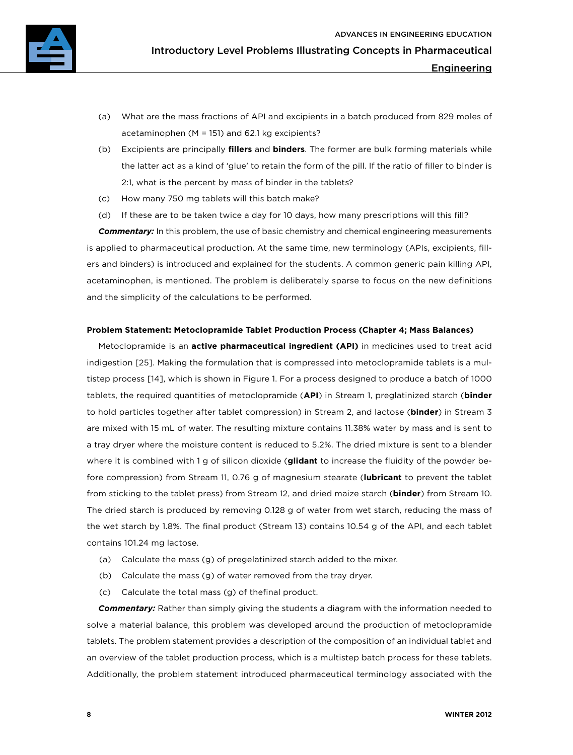

- (a) What are the mass fractions of API and excipients in a batch produced from 829 moles of acetaminophen (M = 151) and 62.1 kg excipients?
- (b) Excipients are principally **fillers** and **binders**. The former are bulk forming materials while the latter act as a kind of 'glue' to retain the form of the pill. If the ratio of filler to binder is 2:1, what is the percent by mass of binder in the tablets?
- (c) How many 750 mg tablets will this batch make?
- (d) If these are to be taken twice a day for 10 days, how many prescriptions will this fill?

*Commentary:* In this problem, the use of basic chemistry and chemical engineering measurements is applied to pharmaceutical production. At the same time, new terminology (APIs, excipients, fillers and binders) is introduced and explained for the students. A common generic pain killing API, acetaminophen, is mentioned. The problem is deliberately sparse to focus on the new definitions and the simplicity of the calculations to be performed.

## **Problem Statement: Metoclopramide Tablet Production Process (Chapter 4; Mass Balances)**

Metoclopramide is an **active pharmaceutical ingredient (API)** in medicines used to treat acid indigestion [25]. Making the formulation that is compressed into metoclopramide tablets is a multistep process [14], which is shown in Figure 1. For a process designed to produce a batch of 1000 tablets, the required quantities of metoclopramide (**API**) in Stream 1, preglatinized starch (**binder** to hold particles together after tablet compression) in Stream 2, and lactose (**binder**) in Stream 3 are mixed with 15 mL of water. The resulting mixture contains 11.38% water by mass and is sent to a tray dryer where the moisture content is reduced to 5.2%. The dried mixture is sent to a blender where it is combined with 1 g of silicon dioxide (**glidant** to increase the fluidity of the powder before compression) from Stream 11, 0.76 g of magnesium stearate (**lubricant** to prevent the tablet from sticking to the tablet press) from Stream 12, and dried maize starch (**binder**) from Stream 10. The dried starch is produced by removing 0.128 g of water from wet starch, reducing the mass of the wet starch by 1.8%. The final product (Stream 13) contains 10.54 g of the API, and each tablet contains 101.24 mg lactose.

- (a) Calculate the mass (g) of pregelatinized starch added to the mixer.
- (b) Calculate the mass (g) of water removed from the tray dryer.
- (c) Calculate the total mass (g) of thefinal product.

*Commentary:* Rather than simply giving the students a diagram with the information needed to solve a material balance, this problem was developed around the production of metoclopramide tablets. The problem statement provides a description of the composition of an individual tablet and an overview of the tablet production process, which is a multistep batch process for these tablets. Additionally, the problem statement introduced pharmaceutical terminology associated with the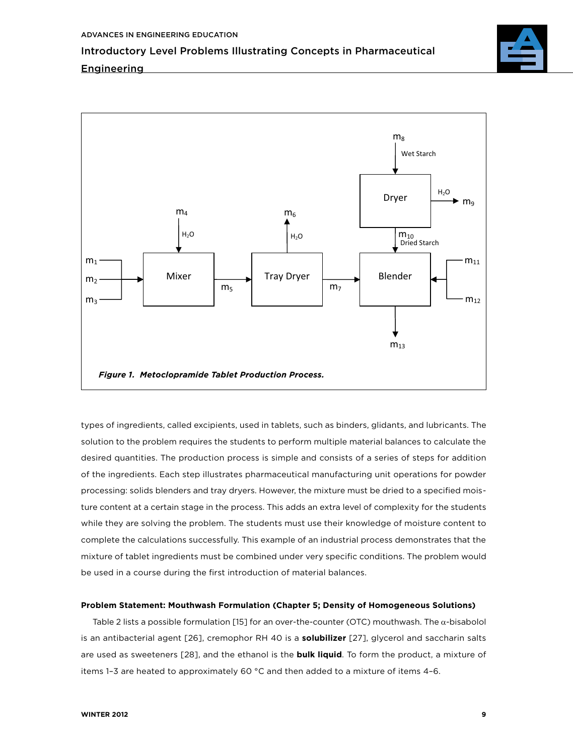## **Engineering**



types of ingredients, called excipients, used in tablets, such as binders, glidants, and lubricants. The solution to the problem requires the students to perform multiple material balances to calculate the desired quantities. The production process is simple and consists of a series of steps for addition of the ingredients. Each step illustrates pharmaceutical manufacturing unit operations for powder processing: solids blenders and tray dryers. However, the mixture must be dried to a specified moisture content at a certain stage in the process. This adds an extra level of complexity for the students while they are solving the problem. The students must use their knowledge of moisture content to complete the calculations successfully. This example of an industrial process demonstrates that the mixture of tablet ingredients must be combined under very specific conditions. The problem would be used in a course during the first introduction of material balances.

## **Problem Statement: Mouthwash Formulation (Chapter 5; Density of Homogeneous Solutions)**

Table 2 lists a possible formulation [15] for an over-the-counter (OTC) mouthwash. The  $\alpha$ -bisabolol is an antibacterial agent [26], cremophor RH 40 is a **solubilizer** [27], glycerol and saccharin salts are used as sweeteners [28], and the ethanol is the **bulk liquid**. To form the product, a mixture of items 1–3 are heated to approximately 60 °C and then added to a mixture of items 4–6.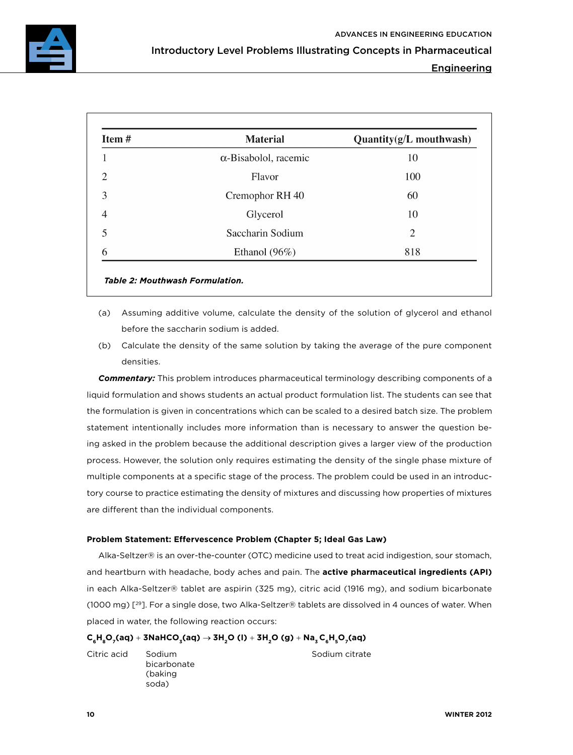

Engineering

| Item# | <b>Material</b>              | Quantity(g/L mouthwash) |
|-------|------------------------------|-------------------------|
|       | $\alpha$ -Bisabolol, racemic | 10                      |
|       | Flavor                       | 100                     |
| 3     | Cremophor RH 40              | 60                      |
| 4     | Glycerol                     | 10                      |
|       | Saccharin Sodium             | 2                       |
| 6     | Ethanol $(96\%)$             | 818                     |

- (a) Assuming additive volume, calculate the density of the solution of glycerol and ethanol before the saccharin sodium is added.
- (b) Calculate the density of the same solution by taking the average of the pure component densities.

*Commentary:* This problem introduces pharmaceutical terminology describing components of a liquid formulation and shows students an actual product formulation list. The students can see that the formulation is given in concentrations which can be scaled to a desired batch size. The problem statement intentionally includes more information than is necessary to answer the question being asked in the problem because the additional description gives a larger view of the production process. However, the solution only requires estimating the density of the single phase mixture of multiple components at a specific stage of the process. The problem could be used in an introductory course to practice estimating the density of mixtures and discussing how properties of mixtures are different than the individual components.

## **Problem Statement: Effervescence Problem (Chapter 5; Ideal Gas Law)**

Alka-Seltzer® is an over-the-counter (OTC) medicine used to treat acid indigestion, sour stomach, and heartburn with headache, body aches and pain. The **active pharmaceutical ingredients (API)** in each Alka-Seltzer® tablet are aspirin (325 mg), citric acid (1916 mg), and sodium bicarbonate (1000 mg) [29]. For a single dose, two Alka-Seltzer® tablets are dissolved in 4 ounces of water. When placed in water, the following reaction occurs:

## $C_6H_8O_7(aq) + 3NahCO_3(aq) \rightarrow 3H_2O$  (1) +  $3H_2O$  (g) +  $Na_3C_6H_5O_7(aq)$

Citric acid Sodium bicarbonate (baking soda)

Sodium citrate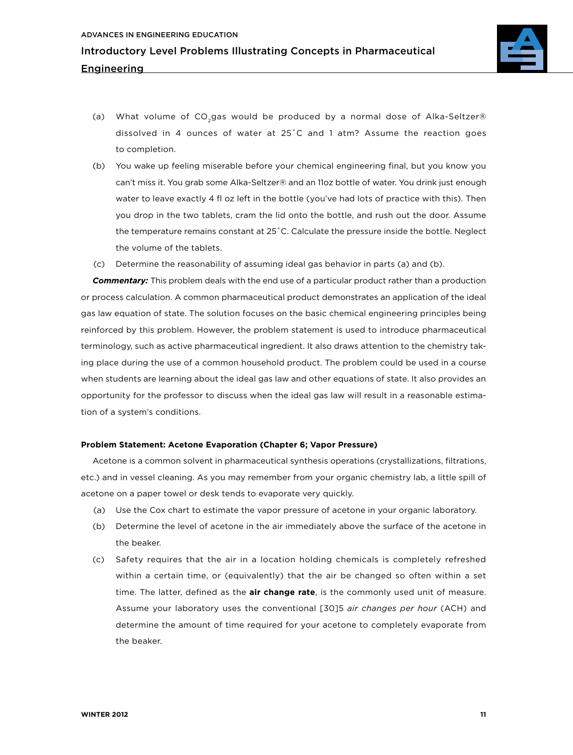

- (a) What volume of CO<sub>2</sub>gas would be produced by a normal dose of Alka-Seltzer® dissolved in 4 ounces of water at 25˚C and 1 atm? Assume the reaction goes to completion.
- (b) You wake up feeling miserable before your chemical engineering final, but you know you can't miss it. You grab some Alka-Seltzer® and an 11oz bottle of water. You drink just enough water to leave exactly 4 fl oz left in the bottle (you've had lots of practice with this). Then you drop in the two tablets, cram the lid onto the bottle, and rush out the door. Assume the temperature remains constant at 25˚C. Calculate the pressure inside the bottle. Neglect the volume of the tablets.
- (c) Determine the reasonability of assuming ideal gas behavior in parts (a) and (b).

**Commentary:** This problem deals with the end use of a particular product rather than a production or process calculation. A common pharmaceutical product demonstrates an application of the ideal gas law equation of state. The solution focuses on the basic chemical engineering principles being reinforced by this problem. However, the problem statement is used to introduce pharmaceutical terminology, such as active pharmaceutical ingredient. It also draws attention to the chemistry taking place during the use of a common household product. The problem could be used in a course when students are learning about the ideal gas law and other equations of state. It also provides an opportunity for the professor to discuss when the ideal gas law will result in a reasonable estimation of a system's conditions.

## **Problem Statement: Acetone Evaporation (Chapter 6; Vapor Pressure)**

Acetone is a common solvent in pharmaceutical synthesis operations (crystallizations, filtrations, etc.) and in vessel cleaning. As you may remember from your organic chemistry lab, a little spill of acetone on a paper towel or desk tends to evaporate very quickly.

- (a) Use the Cox chart to estimate the vapor pressure of acetone in your organic laboratory.
- (b) Determine the level of acetone in the air immediately above the surface of the acetone in the beaker.
- (c) Safety requires that the air in a location holding chemicals is completely refreshed within a certain time, or (equivalently) that the air be changed so often within a set time. The latter, defined as the **air change rate**, is the commonly used unit of measure. Assume your laboratory uses the conventional [30]5 *air changes per hour* (ACH) and determine the amount of time required for your acetone to completely evaporate from the beaker.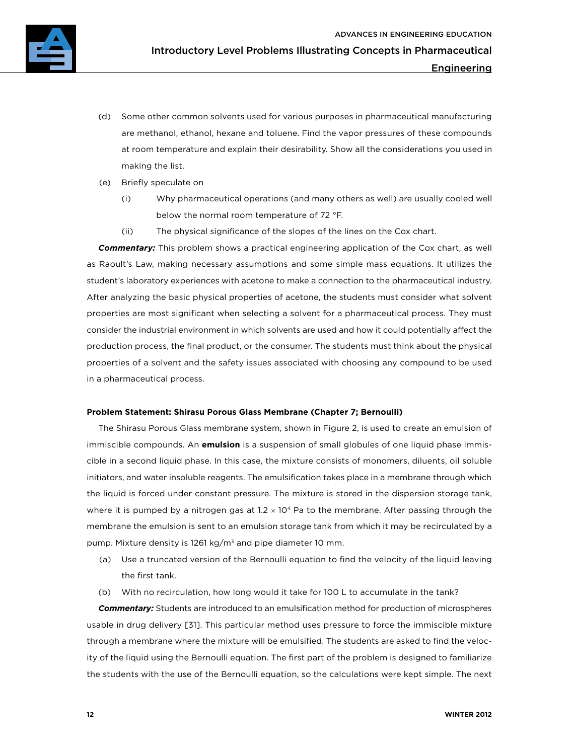- (d) Some other common solvents used for various purposes in pharmaceutical manufacturing are methanol, ethanol, hexane and toluene. Find the vapor pressures of these compounds at room temperature and explain their desirability. Show all the considerations you used in making the list.
- (e) Briefly speculate on
	- (i) Why pharmaceutical operations (and many others as well) are usually cooled well below the normal room temperature of 72 °F.
	- (ii) The physical significance of the slopes of the lines on the Cox chart.

*Commentary:* This problem shows a practical engineering application of the Cox chart, as well as Raoult's Law, making necessary assumptions and some simple mass equations. It utilizes the student's laboratory experiences with acetone to make a connection to the pharmaceutical industry. After analyzing the basic physical properties of acetone, the students must consider what solvent properties are most significant when selecting a solvent for a pharmaceutical process. They must consider the industrial environment in which solvents are used and how it could potentially affect the production process, the final product, or the consumer. The students must think about the physical properties of a solvent and the safety issues associated with choosing any compound to be used in a pharmaceutical process.

## **Problem Statement: Shirasu Porous Glass Membrane (Chapter 7; Bernoulli)**

The Shirasu Porous Glass membrane system, shown in Figure 2, is used to create an emulsion of immiscible compounds. An **emulsion** is a suspension of small globules of one liquid phase immiscible in a second liquid phase. In this case, the mixture consists of monomers, diluents, oil soluble initiators, and water insoluble reagents. The emulsification takes place in a membrane through which the liquid is forced under constant pressure. The mixture is stored in the dispersion storage tank, where it is pumped by a nitrogen gas at  $1.2 \times 10^4$  Pa to the membrane. After passing through the membrane the emulsion is sent to an emulsion storage tank from which it may be recirculated by a pump. Mixture density is 1261 kg/ $m<sup>3</sup>$  and pipe diameter 10 mm.

- (a) Use a truncated version of the Bernoulli equation to find the velocity of the liquid leaving the first tank.
- (b) With no recirculation, how long would it take for 100 L to accumulate in the tank?

*Commentary:* Students are introduced to an emulsification method for production of microspheres usable in drug delivery [31]. This particular method uses pressure to force the immiscible mixture through a membrane where the mixture will be emulsified. The students are asked to find the velocity of the liquid using the Bernoulli equation. The first part of the problem is designed to familiarize the students with the use of the Bernoulli equation, so the calculations were kept simple. The next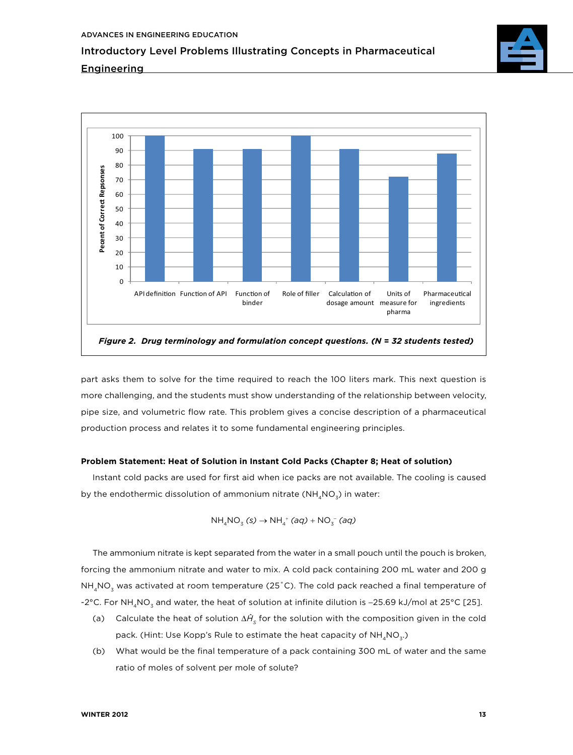

## **Engineering**



part asks them to solve for the time required to reach the 100 liters mark. This next question is more challenging, and the students must show understanding of the relationship between velocity, pipe size, and volumetric flow rate. This problem gives a concise description of a pharmaceutical production process and relates it to some fundamental engineering principles.

## **Problem Statement: Heat of Solution in Instant Cold Packs (Chapter 8; Heat of solution)**

Instant cold packs are used for first aid when ice packs are not available. The cooling is caused by the endothermic dissolution of ammonium nitrate ( $NH<sub>4</sub>NO<sub>3</sub>$ ) in water:

$$
\mathrm{NH}_4\mathrm{NO}_3^{\phantom{1}}\,(s)\rightarrow\mathrm{NH}_4^{\phantom{1}+}\,(aq)+\mathrm{NO}_3^{\phantom{1}-}\,(aq)
$$

The ammonium nitrate is kept separated from the water in a small pouch until the pouch is broken, forcing the ammonium nitrate and water to mix. A cold pack containing 200 mL water and 200 g  $NH<sub>4</sub>NO<sub>3</sub>$  was activated at room temperature (25°C). The cold pack reached a final temperature of -2°C. For NH<sub>4</sub>NO<sub>3</sub> and water, the heat of solution at infinite dilution is −25.69 kJ/mol at 25°C [25].

- (a) Calculate the heat of solution  $\Delta H_{\rm s}$  for the solution with the composition given in the cold pack. (Hint: Use Kopp's Rule to estimate the heat capacity of  $NH_{4}NO_{3}$ .)
- (b) What would be the final temperature of a pack containing 300 mL of water and the same ratio of moles of solvent per mole of solute?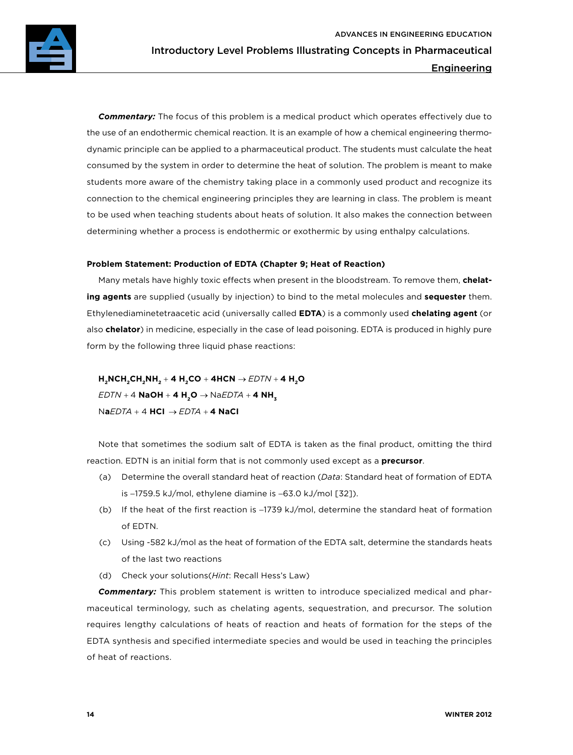

*Commentary:* The focus of this problem is a medical product which operates effectively due to the use of an endothermic chemical reaction. It is an example of how a chemical engineering thermodynamic principle can be applied to a pharmaceutical product. The students must calculate the heat consumed by the system in order to determine the heat of solution. The problem is meant to make students more aware of the chemistry taking place in a commonly used product and recognize its connection to the chemical engineering principles they are learning in class. The problem is meant to be used when teaching students about heats of solution. It also makes the connection between determining whether a process is endothermic or exothermic by using enthalpy calculations.

## **Problem Statement: Production of EDTA (Chapter 9; Heat of Reaction)**

Many metals have highly toxic effects when present in the bloodstream. To remove them, **chelating agents** are supplied (usually by injection) to bind to the metal molecules and **sequester** them. Ethylenediaminetetraacetic acid (universally called **EDTA**) is a commonly used **chelating agent** (or also **chelator**) in medicine, especially in the case of lead poisoning. EDTA is produced in highly pure form by the following three liquid phase reactions:

 $H_2NCH_2CH_2NH_2 + 4 H_2CO + 4HCN \rightarrow EDTN + 4 H_2O$  $EDTN + 4$  **NaOH** + **4 H<sub>2</sub>O**  $\rightarrow$  Na*EDTA* + **4 NH**<sub>z</sub> N**a***EDTA* + 4 **HCI** → *EDTA* + **4 NaCI**

Note that sometimes the sodium salt of EDTA is taken as the final product, omitting the third reaction. EDTN is an initial form that is not commonly used except as a **precursor**.

- (a) Determine the overall standard heat of reaction (*Data*: Standard heat of formation of EDTA is −1759.5 kJ/mol, ethylene diamine is −63.0 kJ/mol [32]).
- (b) If the heat of the first reaction is −1739 kJ/mol, determine the standard heat of formation of EDTN.
- (c) Using -582 kJ/mol as the heat of formation of the EDTA salt, determine the standards heats of the last two reactions
- (d) Check your solutions(*Hint*: Recall Hess's Law)

*Commentary:* This problem statement is written to introduce specialized medical and pharmaceutical terminology, such as chelating agents, sequestration, and precursor. The solution requires lengthy calculations of heats of reaction and heats of formation for the steps of the EDTA synthesis and specified intermediate species and would be used in teaching the principles of heat of reactions.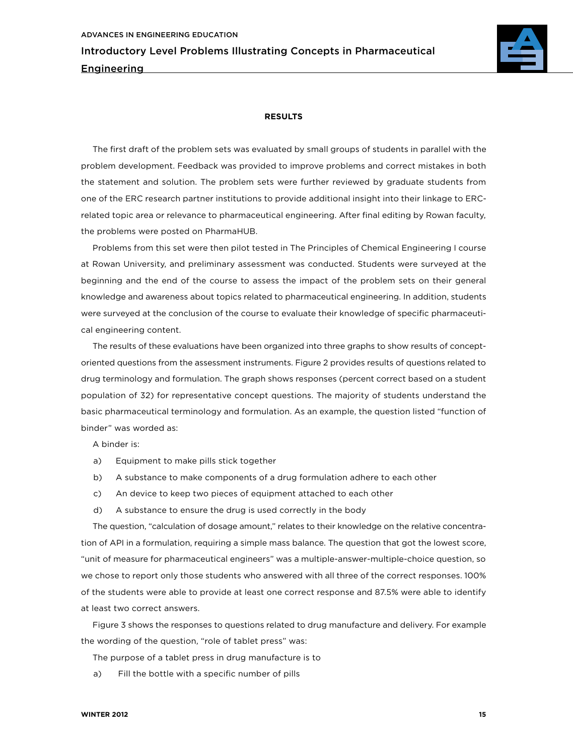

## **RESULTS**

The first draft of the problem sets was evaluated by small groups of students in parallel with the problem development. Feedback was provided to improve problems and correct mistakes in both the statement and solution. The problem sets were further reviewed by graduate students from one of the ERC research partner institutions to provide additional insight into their linkage to ERCrelated topic area or relevance to pharmaceutical engineering. After final editing by Rowan faculty, the problems were posted on PharmaHUB.

Problems from this set were then pilot tested in The Principles of Chemical Engineering I course at Rowan University, and preliminary assessment was conducted. Students were surveyed at the beginning and the end of the course to assess the impact of the problem sets on their general knowledge and awareness about topics related to pharmaceutical engineering. In addition, students were surveyed at the conclusion of the course to evaluate their knowledge of specific pharmaceutical engineering content.

The results of these evaluations have been organized into three graphs to show results of conceptoriented questions from the assessment instruments. Figure 2 provides results of questions related to drug terminology and formulation. The graph shows responses (percent correct based on a student population of 32) for representative concept questions. The majority of students understand the basic pharmaceutical terminology and formulation. As an example, the question listed "function of binder" was worded as:

A binder is:

- a) Equipment to make pills stick together
- b) A substance to make components of a drug formulation adhere to each other
- c) An device to keep two pieces of equipment attached to each other
- d) A substance to ensure the drug is used correctly in the body

The question, "calculation of dosage amount," relates to their knowledge on the relative concentration of API in a formulation, requiring a simple mass balance. The question that got the lowest score, "unit of measure for pharmaceutical engineers" was a multiple-answer-multiple-choice question, so we chose to report only those students who answered with all three of the correct responses. 100% of the students were able to provide at least one correct response and 87.5% were able to identify at least two correct answers.

Figure 3 shows the responses to questions related to drug manufacture and delivery. For example the wording of the question, "role of tablet press" was:

The purpose of a tablet press in drug manufacture is to

a) Fill the bottle with a specific number of pills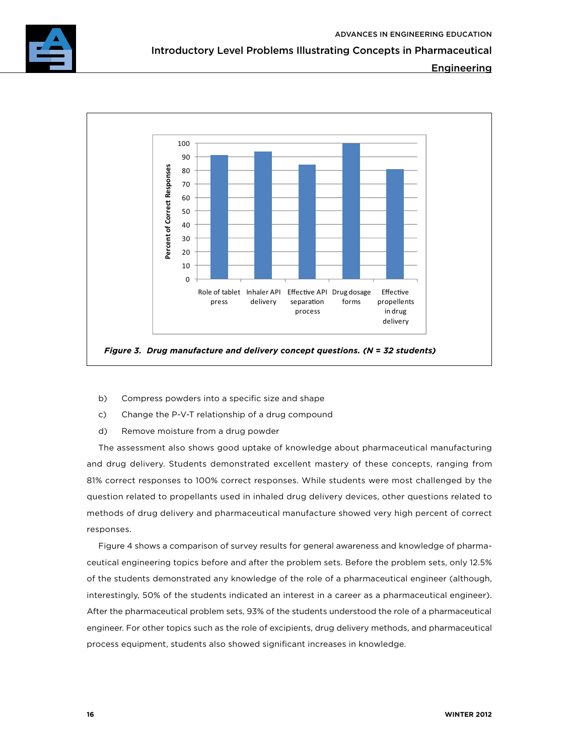

Engineering



- b) Compress powders into a specific size and shape
- c) Change the P-V-T relationship of a drug compound
- d) Remove moisture from a drug powder

The assessment also shows good uptake of knowledge about pharmaceutical manufacturing and drug delivery. Students demonstrated excellent mastery of these concepts, ranging from 81% correct responses to 100% correct responses. While students were most challenged by the question related to propellants used in inhaled drug delivery devices, other questions related to methods of drug delivery and pharmaceutical manufacture showed very high percent of correct responses.

Figure 4 shows a comparison of survey results for general awareness and knowledge of pharmaceutical engineering topics before and after the problem sets. Before the problem sets, only 12.5% of the students demonstrated any knowledge of the role of a pharmaceutical engineer (although, interestingly, 50% of the students indicated an interest in a career as a pharmaceutical engineer). After the pharmaceutical problem sets, 93% of the students understood the role of a pharmaceutical engineer. For other topics such as the role of excipients, drug delivery methods, and pharmaceutical process equipment, students also showed significant increases in knowledge.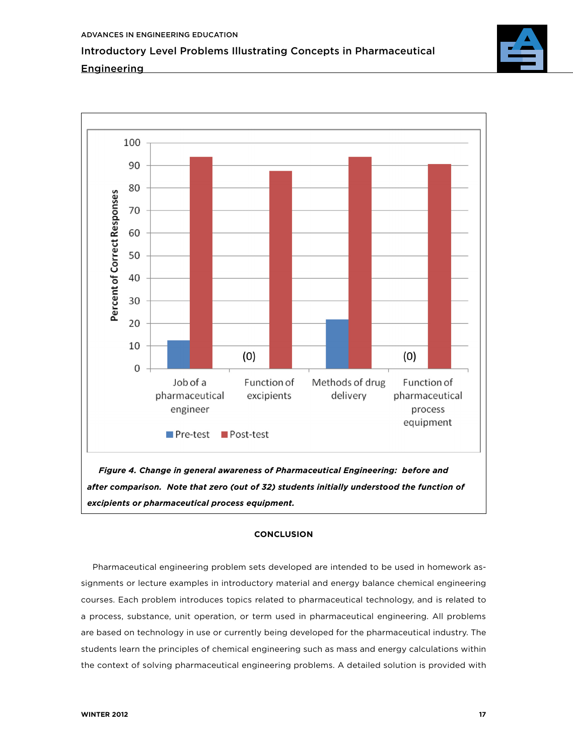



*excipients or pharmaceutical process equipment.*

## **CONCLUSION**

Pharmaceutical engineering problem sets developed are intended to be used in homework assignments or lecture examples in introductory material and energy balance chemical engineering courses. Each problem introduces topics related to pharmaceutical technology, and is related to a process, substance, unit operation, or term used in pharmaceutical engineering. All problems are based on technology in use or currently being developed for the pharmaceutical industry. The students learn the principles of chemical engineering such as mass and energy calculations within the context of solving pharmaceutical engineering problems. A detailed solution is provided with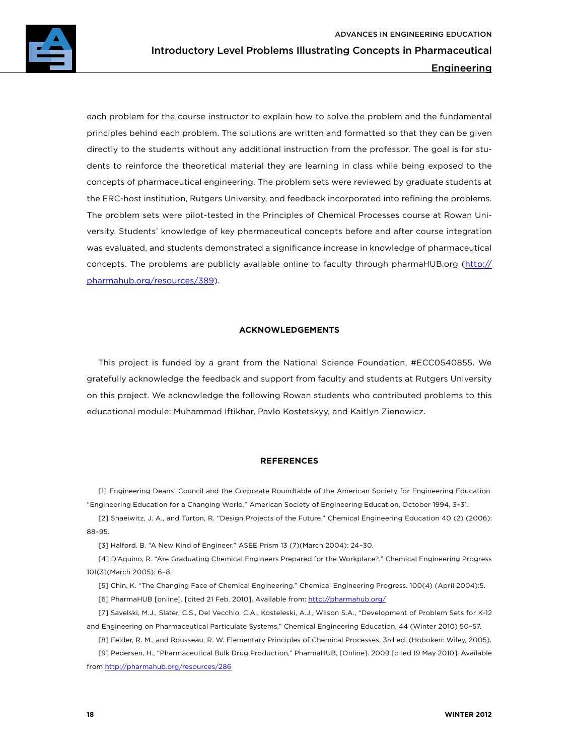each problem for the course instructor to explain how to solve the problem and the fundamental principles behind each problem. The solutions are written and formatted so that they can be given directly to the students without any additional instruction from the professor. The goal is for students to reinforce the theoretical material they are learning in class while being exposed to the concepts of pharmaceutical engineering. The problem sets were reviewed by graduate students at the ERC-host institution, Rutgers University, and feedback incorporated into refining the problems. The problem sets were pilot-tested in the Principles of Chemical Processes course at Rowan University. Students' knowledge of key pharmaceutical concepts before and after course integration was evaluated, and students demonstrated a significance increase in knowledge of pharmaceutical concepts. The problems are publicly available online to faculty through pharmaHUB.org [\(http://](http://pharmahub.org/resources/389) [pharmahub.org/resources/389\)](http://pharmahub.org/resources/389).

## **ACKNOWLEDGEMENTS**

This project is funded by a grant from the National Science Foundation, #ECC0540855. We gratefully acknowledge the feedback and support from faculty and students at Rutgers University on this project. We acknowledge the following Rowan students who contributed problems to this educational module: Muhammad Iftikhar, Pavlo Kostetskyy, and Kaitlyn Zienowicz.

## **REFERENCES**

[1] Engineering Deans' Council and the Corporate Roundtable of the American Society for Engineering Education. "Engineering Education for a Changing World," American Society of Engineering Education, October 1994, 3–31.

[2] Shaeiwitz, J. A., and Turton, R. "Design Projects of the Future." Chemical Engineering Education 40 (2) (2006): 88–95.

[3] Halford. B. "A New Kind of Engineer." ASEE Prism 13 (7)(March 2004): 24–30.

[4] D'Aquino, R. "Are Graduating Chemical Engineers Prepared for the Workplace?." Chemical Engineering Progress 101(3)(March 2005): 6–8.

[5] Chin, K. "The Changing Face of Chemical Engineering." Chemical Engineering Progress. 100(4) (April 2004):5.

[6] PharmaHUB [online]. [cited 21 Feb. 2010]. Available from: <http://pharmahub.org/>

[7] Savelski, M.J., Slater, C.S., Del Vecchio, C.A., Kosteleski, A.J., Wilson S.A., "Development of Problem Sets for K-12 and Engineering on Pharmaceutical Particulate Systems," Chemical Engineering Education, 44 (Winter 2010) 50–57.

[8] Felder, R. M., and Rousseau, R. W. Elementary Principles of Chemical Processes, 3rd ed. (Hoboken: Wiley, 2005). [9] Pedersen, H., "Pharmaceutical Bulk Drug Production," PharmaHUB, [Online]. 2009 [cited 19 May 2010]. Available from <http://pharmahub.org/resources/286>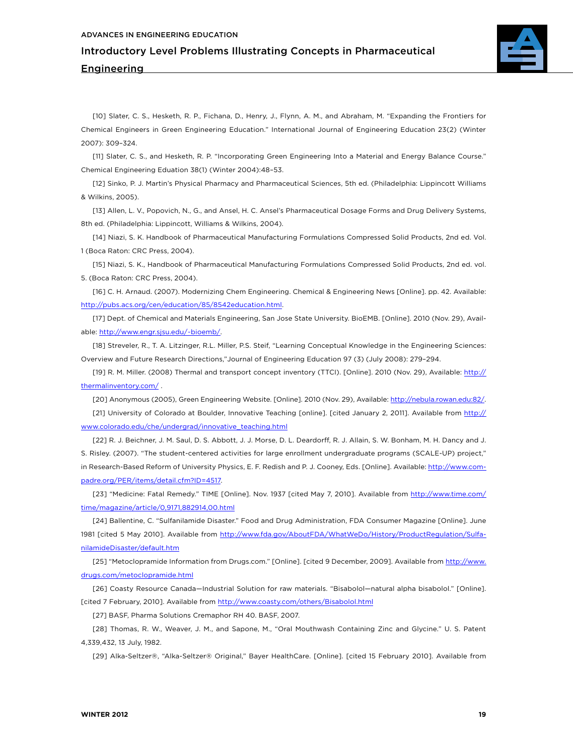

[10] Slater, C. S., Hesketh, R. P., Fichana, D., Henry, J., Flynn, A. M., and Abraham, M. "Expanding the Frontiers for Chemical Engineers in Green Engineering Education." International Journal of Engineering Education 23(2) (Winter 2007): 309–324.

[11] Slater, C. S., and Hesketh, R. P. "Incorporating Green Engineering Into a Material and Energy Balance Course." Chemical Engineering Eduation 38(1) (Winter 2004):48–53.

[12] Sinko, P. J. Martin's Physical Pharmacy and Pharmaceutical Sciences, 5th ed. (Philadelphia: Lippincott Williams & Wilkins, 2005).

[13] Allen, L. V., Popovich, N., G., and Ansel, H. C. Ansel's Pharmaceutical Dosage Forms and Drug Delivery Systems, 8th ed. (Philadelphia: Lippincott, Williams & Wilkins, 2004).

[14] Niazi, S. K. Handbook of Pharmaceutical Manufacturing Formulations Compressed Solid Products, 2nd ed. Vol. 1 (Boca Raton: CRC Press, 2004).

[15] Niazi, S. K., Handbook of Pharmaceutical Manufacturing Formulations Compressed Solid Products, 2nd ed. vol. 5. (Boca Raton: CRC Press, 2004).

[16] C. H. Arnaud. (2007). Modernizing Chem Engineering. Chemical & Engineering News [Online]. pp. 42. Available: <http://pubs.acs.org/cen/education/85/8542education.html>.

[17] Dept. of Chemical and Materials Engineering, San Jose State University. BioEMB. [Online]. 2010 (Nov. 29), Available: <http://www.engr.sjsu.edu/~bioemb/>.

[18] Streveler, R., T. A. Litzinger, R.L. Miller, P.S. Steif, "Learning Conceptual Knowledge in the Engineering Sciences: Overview and Future Research Directions,"Journal of Engineering Education 97 (3) (July 2008): 279–294.

[19] R. M. Miller. (2008) Thermal and transport concept inventory (TTCI). [Online]. 2010 (Nov. 29), Available: [http://](http://thermalinventory.com/) [thermalinventory.com/](http://thermalinventory.com/) .

[20] Anonymous (2005), Green Engineering Website. [Online]. 2010 (Nov. 29), Available:<http://nebula.rowan.edu:82/>. [21] University of Colorado at Boulder, Innovative Teaching [online]. [cited January 2, 2011]. Available from [http://](http://www.colorado.edu/che/undergrad/innovative_teaching.html) [www.colorado.edu/che/undergrad/innovative\\_teaching.html](http://www.colorado.edu/che/undergrad/innovative_teaching.html)

[22] R. J. Beichner, J. M. Saul, D. S. Abbott, J. J. Morse, D. L. Deardorff, R. J. Allain, S. W. Bonham, M. H. Dancy and J. S. Risley. (2007). "The student-centered activities for large enrollment undergraduate programs (SCALE-UP) project," in Research-Based Reform of University Physics, E. F. Redish and P. J. Cooney, Eds. [Online]. Available: [http://www.com](http://www.compadre.org/PER/items/detail.cfm?ID=4517)[padre.org/PER/items/detail.cfm?ID=4517.](http://www.compadre.org/PER/items/detail.cfm?ID=4517)

[23] "Medicine: Fatal Remedy." TIME [Online]. Nov. 1937 [cited May 7, 2010]. Available from [http://www.time.com/](http://www.time.com/time/magazine/article/0,9171,882914,00.html) [time/magazine/article/0,9171,882914,00.html](http://www.time.com/time/magazine/article/0,9171,882914,00.html)

[24] Ballentine, C. "Sulfanilamide Disaster." Food and Drug Administration, FDA Consumer Magazine [Online]. June 1981 [cited 5 May 2010]. Available from [http://www.fda.gov/AboutFDA/WhatWeDo/History/ProductRegulation/Sulfa](http://www.fda.gov/AboutFDA/WhatWeDo/History/ProductRegulation/SulfanilamideDisaster/default.htm)[nilamideDisaster/default.htm](http://www.fda.gov/AboutFDA/WhatWeDo/History/ProductRegulation/SulfanilamideDisaster/default.htm)

[25] "Metoclopramide Information from Drugs.com." [Online]. [cited 9 December, 2009]. Available from [http://www.](http://www.drugs.com/metoclopramide.html) [drugs.com/metoclopramide.html](http://www.drugs.com/metoclopramide.html)

[26] Coasty Resource Canada—Industrial Solution for raw materials. "Bisabolol—natural alpha bisabolol." [Online]. [cited 7 February, 2010]. Available from <http://www.coasty.com/others/Bisabolol.html>

[27] BASF, Pharma Solutions Cremaphor RH 40. BASF, 2007.

[28] Thomas, R. W., Weaver, J. M., and Sapone, M., "Oral Mouthwash Containing Zinc and Glycine." U. S. Patent 4,339,432, 13 July, 1982.

[29] Alka-Seltzer®, "Alka-Seltzer® Original," Bayer HealthCare. [Online]. [cited 15 February 2010]. Available from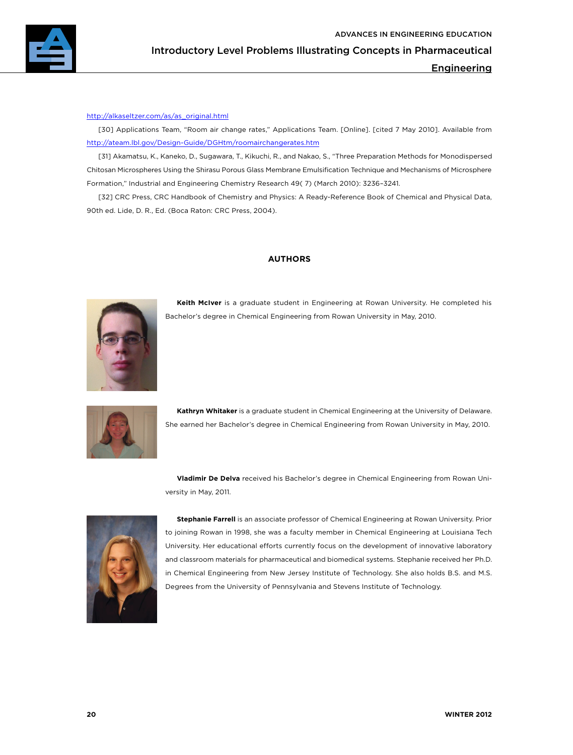

#### [http://alkaseltzer.com/as/as\\_original.html](http://alkaseltzer.com/as/as_original.html)

[30] Applications Team, "Room air change rates," Applications Team. [Online]. [cited 7 May 2010]. Available from <http://ateam.lbl.gov/Design-Guide/DGHtm/roomairchangerates.htm>

[31] Akamatsu, K., Kaneko, D., Sugawara, T., Kikuchi, R., and Nakao, S., "Three Preparation Methods for Monodispersed Chitosan Microspheres Using the Shirasu Porous Glass Membrane Emulsification Technique and Mechanisms of Microsphere Formation," Industrial and Engineering Chemistry Research 49( 7) (March 2010): 3236–3241.

[32] CRC Press, CRC Handbook of Chemistry and Physics: A Ready-Reference Book of Chemical and Physical Data, 90th ed. Lide, D. R., Ed. (Boca Raton: CRC Press, 2004).

## **AUTHORS**



**Keith McIver** is a graduate student in Engineering at Rowan University. He completed his Bachelor's degree in Chemical Engineering from Rowan University in May, 2010.



**Kathryn Whitaker** is a graduate student in Chemical Engineering at the University of Delaware. She earned her Bachelor's degree in Chemical Engineering from Rowan University in May, 2010.

**Vladimir De Delva** received his Bachelor's degree in Chemical Engineering from Rowan University in May, 2011.



**Stephanie Farrell** is an associate professor of Chemical Engineering at Rowan University. Prior to joining Rowan in 1998, she was a faculty member in Chemical Engineering at Louisiana Tech University. Her educational efforts currently focus on the development of innovative laboratory and classroom materials for pharmaceutical and biomedical systems. Stephanie received her Ph.D. in Chemical Engineering from New Jersey Institute of Technology. She also holds B.S. and M.S. Degrees from the University of Pennsylvania and Stevens Institute of Technology.